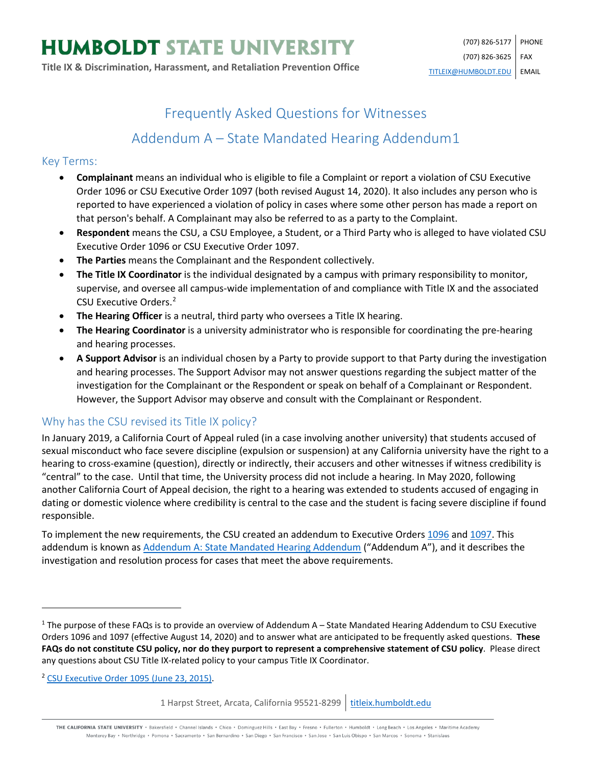# Frequently Asked Questions for Witnesses

# Addendum A – State Mandated Hearing Addendum[1](#page-0-0)

#### Key Terms:

- **Complainant** means an individual who is eligible to file a Complaint or report a violation of CSU Executive Order 1096 or CSU Executive Order 1097 (both revised August 14, 2020). It also includes any person who is reported to have experienced a violation of policy in cases where some other person has made a report on that person's behalf. A Complainant may also be referred to as a party to the Complaint.
- **Respondent** means the CSU, a CSU Employee, a Student, or a Third Party who is alleged to have violated CSU Executive Order 1096 or CSU Executive Order 1097.
- **The Parties** means the Complainant and the Respondent collectively.
- **The Title IX Coordinator** is the individual designated by a campus with primary responsibility to monitor, supervise, and oversee all campus-wide implementation of and compliance with Title IX and the associated CSU Executive Orders.[2](#page-0-1)
- **The Hearing Officer** is a neutral, third party who oversees a Title IX hearing.
- **The Hearing Coordinator** is a university administrator who is responsible for coordinating the pre-hearing and hearing processes.
- **A Support Advisor** is an individual chosen by a Party to provide support to that Party during the investigation and hearing processes. The Support Advisor may not answer questions regarding the subject matter of the investigation for the Complainant or the Respondent or speak on behalf of a Complainant or Respondent. However, the Support Advisor may observe and consult with the Complainant or Respondent.

## Why has the CSU revised its Title IX policy?

In January 2019, a California Court of Appeal ruled (in a case involving another university) that students accused of sexual misconduct who face severe discipline (expulsion or suspension) at any California university have the right to a hearing to cross-examine (question), directly or indirectly, their accusers and other witnesses if witness credibility is "central" to the case. Until that time, the University process did not include a hearing. In May 2020, following another California Court of Appeal decision, the right to a hearing was extended to students accused of engaging in dating or domestic violence where credibility is central to the case and the student is facing severe discipline if found responsible.

To implement the new requirements, the CSU created an addendum to Executive Orders [1096](https://calstate.policystat.com/policy/8453514/latest/) and [1097.](https://calstate.policystat.com/policy/8453516/latest/) This addendum is known as [Addendum A: State Mandated Hearing Addendum](https://calstate.policystat.com/policy/8453516/latest/#autoid-58zq4) ("Addendum A"), and it describes the investigation and resolution process for cases that meet the above requirements.

<span id="page-0-1"></span><sup>2</sup> [CSU Executive Order 1095 \(June 23, 2015\).](https://calstate.policystat.com/policy/6741651/latest/)

 $\overline{\phantom{a}}$ 

THE CALIFORNIA STATE UNIVERSITY · Bakersfield · Channel Islands · Chico · Dominguez Hills · East Bay · Fresno · Fullerton · Humboldt · Long Beach · Los Angeles · Maritime Academy Monterey Bay . Northridge . Pomona . Sacramento . San Bernardino . San Diego . San Francisco . San Jose . San Luis Obispo . San Marcos . Sonoma . Stanislaus

<span id="page-0-0"></span> $1$  The purpose of these FAQs is to provide an overview of Addendum A – State Mandated Hearing Addendum to CSU Executive Orders 1096 and 1097 (effective August 14, 2020) and to answer what are anticipated to be frequently asked questions. **These FAQs do not constitute CSU policy, nor do they purport to represent a comprehensive statement of CSU policy**. Please direct any questions about CSU Title IX-related policy to your campus Title IX Coordinator.

<sup>1</sup> Harpst Street, Arcata, California 95521-8299 | [titleix.humboldt.edu](https://titleix.humboldt.edu/)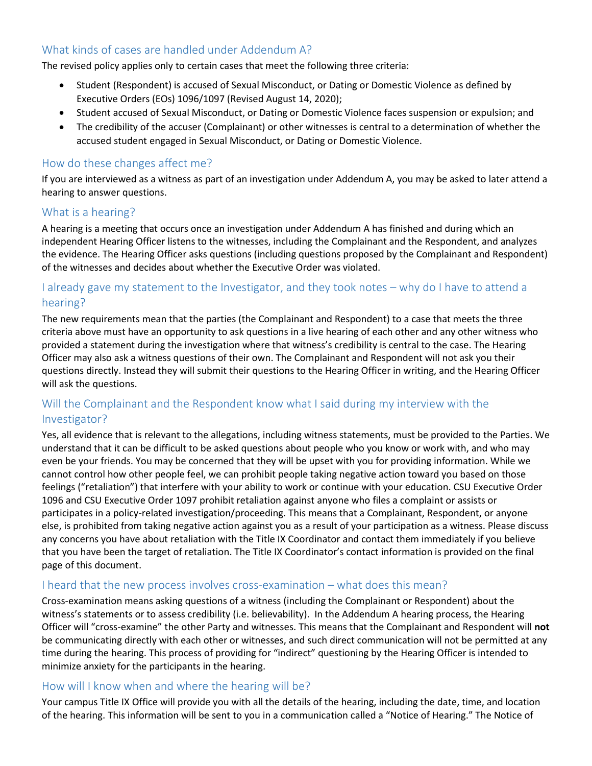# What kinds of cases are handled under Addendum A?

The revised policy applies only to certain cases that meet the following three criteria:

- Student (Respondent) is accused of Sexual Misconduct, or Dating or Domestic Violence as defined by Executive Orders (EOs) 1096/1097 (Revised August 14, 2020);
- Student accused of Sexual Misconduct, or Dating or Domestic Violence faces suspension or expulsion; and
- The credibility of the accuser (Complainant) or other witnesses is central to a determination of whether the accused student engaged in Sexual Misconduct, or Dating or Domestic Violence.

#### How do these changes affect me?

If you are interviewed as a witness as part of an investigation under Addendum A, you may be asked to later attend a hearing to answer questions.

#### What is a hearing?

A hearing is a meeting that occurs once an investigation under Addendum A has finished and during which an independent Hearing Officer listens to the witnesses, including the Complainant and the Respondent, and analyzes the evidence. The Hearing Officer asks questions (including questions proposed by the Complainant and Respondent) of the witnesses and decides about whether the Executive Order was violated.

### I already gave my statement to the Investigator, and they took notes – why do I have to attend a hearing?

The new requirements mean that the parties (the Complainant and Respondent) to a case that meets the three criteria above must have an opportunity to ask questions in a live hearing of each other and any other witness who provided a statement during the investigation where that witness's credibility is central to the case. The Hearing Officer may also ask a witness questions of their own. The Complainant and Respondent will not ask you their questions directly. Instead they will submit their questions to the Hearing Officer in writing, and the Hearing Officer will ask the questions.

## Will the Complainant and the Respondent know what I said during my interview with the Investigator?

Yes, all evidence that is relevant to the allegations, including witness statements, must be provided to the Parties. We understand that it can be difficult to be asked questions about people who you know or work with, and who may even be your friends. You may be concerned that they will be upset with you for providing information. While we cannot control how other people feel, we can prohibit people taking negative action toward you based on those feelings ("retaliation") that interfere with your ability to work or continue with your education. CSU Executive Order 1096 and CSU Executive Order 1097 prohibit retaliation against anyone who files a complaint or assists or participates in a policy-related investigation/proceeding. This means that a Complainant, Respondent, or anyone else, is prohibited from taking negative action against you as a result of your participation as a witness. Please discuss any concerns you have about retaliation with the Title IX Coordinator and contact them immediately if you believe that you have been the target of retaliation. The Title IX Coordinator's contact information is provided on the final page of this document.

#### I heard that the new process involves cross-examination – what does this mean?

Cross-examination means asking questions of a witness (including the Complainant or Respondent) about the witness's statements or to assess credibility (i.e. believability). In the Addendum A hearing process, the Hearing Officer will "cross-examine" the other Party and witnesses. This means that the Complainant and Respondent will **not** be communicating directly with each other or witnesses, and such direct communication will not be permitted at any time during the hearing. This process of providing for "indirect" questioning by the Hearing Officer is intended to minimize anxiety for the participants in the hearing.

#### How will I know when and where the hearing will be?

Your campus Title IX Office will provide you with all the details of the hearing, including the date, time, and location of the hearing. This information will be sent to you in a communication called a "Notice of Hearing." The Notice of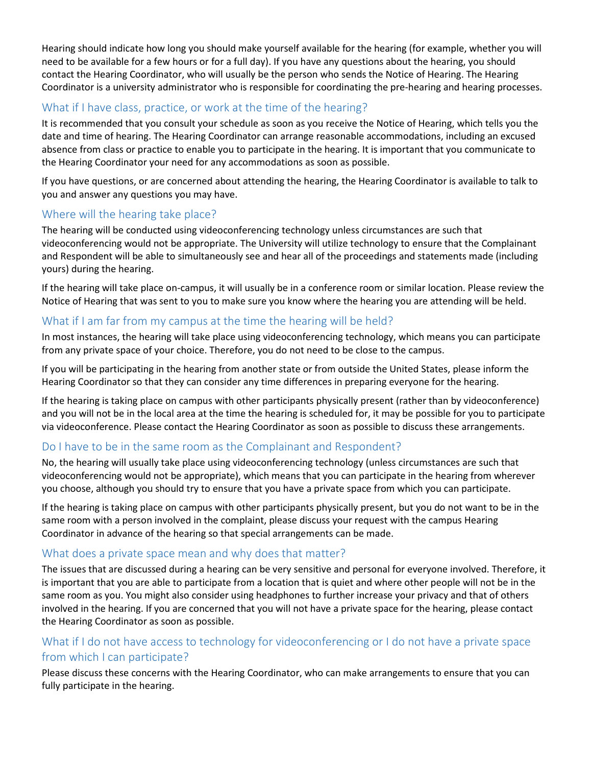Hearing should indicate how long you should make yourself available for the hearing (for example, whether you will need to be available for a few hours or for a full day). If you have any questions about the hearing, you should contact the Hearing Coordinator, who will usually be the person who sends the Notice of Hearing. The Hearing Coordinator is a university administrator who is responsible for coordinating the pre-hearing and hearing processes.

## What if I have class, practice, or work at the time of the hearing?

It is recommended that you consult your schedule as soon as you receive the Notice of Hearing, which tells you the date and time of hearing. The Hearing Coordinator can arrange reasonable accommodations, including an excused absence from class or practice to enable you to participate in the hearing. It is important that you communicate to the Hearing Coordinator your need for any accommodations as soon as possible.

If you have questions, or are concerned about attending the hearing, the Hearing Coordinator is available to talk to you and answer any questions you may have.

### Where will the hearing take place?

The hearing will be conducted using videoconferencing technology unless circumstances are such that videoconferencing would not be appropriate. The University will utilize technology to ensure that the Complainant and Respondent will be able to simultaneously see and hear all of the proceedings and statements made (including yours) during the hearing.

If the hearing will take place on-campus, it will usually be in a conference room or similar location. Please review the Notice of Hearing that was sent to you to make sure you know where the hearing you are attending will be held.

### What if I am far from my campus at the time the hearing will be held?

In most instances, the hearing will take place using videoconferencing technology, which means you can participate from any private space of your choice. Therefore, you do not need to be close to the campus.

If you will be participating in the hearing from another state or from outside the United States, please inform the Hearing Coordinator so that they can consider any time differences in preparing everyone for the hearing.

If the hearing is taking place on campus with other participants physically present (rather than by videoconference) and you will not be in the local area at the time the hearing is scheduled for, it may be possible for you to participate via videoconference. Please contact the Hearing Coordinator as soon as possible to discuss these arrangements.

#### Do I have to be in the same room as the Complainant and Respondent?

No, the hearing will usually take place using videoconferencing technology (unless circumstances are such that videoconferencing would not be appropriate), which means that you can participate in the hearing from wherever you choose, although you should try to ensure that you have a private space from which you can participate.

If the hearing is taking place on campus with other participants physically present, but you do not want to be in the same room with a person involved in the complaint, please discuss your request with the campus Hearing Coordinator in advance of the hearing so that special arrangements can be made.

#### What does a private space mean and why does that matter?

The issues that are discussed during a hearing can be very sensitive and personal for everyone involved. Therefore, it is important that you are able to participate from a location that is quiet and where other people will not be in the same room as you. You might also consider using headphones to further increase your privacy and that of others involved in the hearing. If you are concerned that you will not have a private space for the hearing, please contact the Hearing Coordinator as soon as possible.

# What if I do not have access to technology for videoconferencing or I do not have a private space from which I can participate?

Please discuss these concerns with the Hearing Coordinator, who can make arrangements to ensure that you can fully participate in the hearing.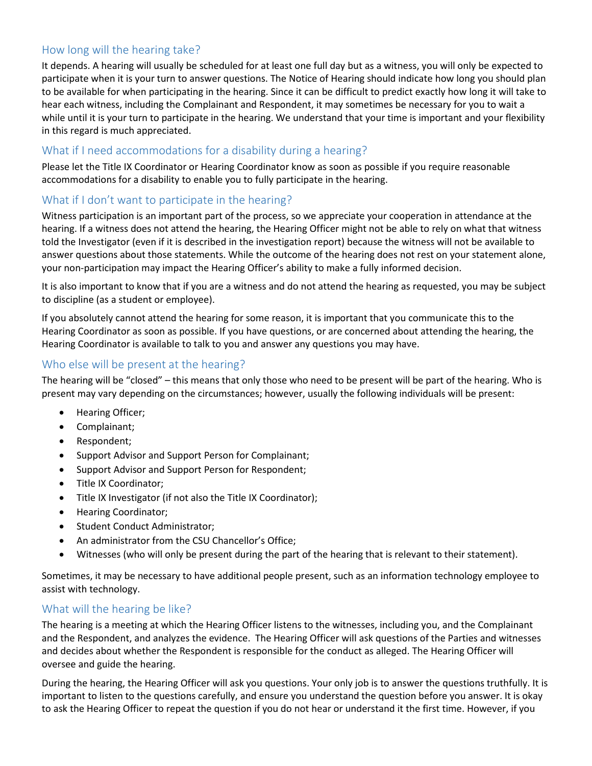### How long will the hearing take?

It depends. A hearing will usually be scheduled for at least one full day but as a witness, you will only be expected to participate when it is your turn to answer questions. The Notice of Hearing should indicate how long you should plan to be available for when participating in the hearing. Since it can be difficult to predict exactly how long it will take to hear each witness, including the Complainant and Respondent, it may sometimes be necessary for you to wait a while until it is your turn to participate in the hearing. We understand that your time is important and your flexibility in this regard is much appreciated.

#### What if I need accommodations for a disability during a hearing?

Please let the Title IX Coordinator or Hearing Coordinator know as soon as possible if you require reasonable accommodations for a disability to enable you to fully participate in the hearing.

### What if I don't want to participate in the hearing?

Witness participation is an important part of the process, so we appreciate your cooperation in attendance at the hearing. If a witness does not attend the hearing, the Hearing Officer might not be able to rely on what that witness told the Investigator (even if it is described in the investigation report) because the witness will not be available to answer questions about those statements. While the outcome of the hearing does not rest on your statement alone, your non-participation may impact the Hearing Officer's ability to make a fully informed decision.

It is also important to know that if you are a witness and do not attend the hearing as requested, you may be subject to discipline (as a student or employee).

If you absolutely cannot attend the hearing for some reason, it is important that you communicate this to the Hearing Coordinator as soon as possible. If you have questions, or are concerned about attending the hearing, the Hearing Coordinator is available to talk to you and answer any questions you may have.

#### Who else will be present at the hearing?

The hearing will be "closed" – this means that only those who need to be present will be part of the hearing. Who is present may vary depending on the circumstances; however, usually the following individuals will be present:

- Hearing Officer;
- Complainant;
- Respondent;
- Support Advisor and Support Person for Complainant;
- Support Advisor and Support Person for Respondent;
- Title IX Coordinator;
- Title IX Investigator (if not also the Title IX Coordinator);
- Hearing Coordinator;
- Student Conduct Administrator;
- An administrator from the CSU Chancellor's Office;
- Witnesses (who will only be present during the part of the hearing that is relevant to their statement).

Sometimes, it may be necessary to have additional people present, such as an information technology employee to assist with technology.

#### What will the hearing be like?

The hearing is a meeting at which the Hearing Officer listens to the witnesses, including you, and the Complainant and the Respondent, and analyzes the evidence. The Hearing Officer will ask questions of the Parties and witnesses and decides about whether the Respondent is responsible for the conduct as alleged. The Hearing Officer will oversee and guide the hearing.

During the hearing, the Hearing Officer will ask you questions. Your only job is to answer the questions truthfully. It is important to listen to the questions carefully, and ensure you understand the question before you answer. It is okay to ask the Hearing Officer to repeat the question if you do not hear or understand it the first time. However, if you